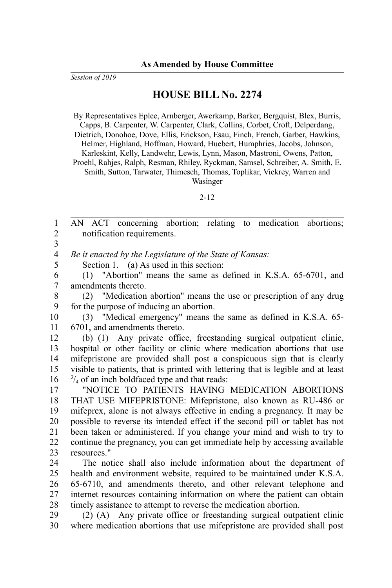*Session of 2019*

## **HOUSE BILL No. 2274**

By Representatives Eplee, Arnberger, Awerkamp, Barker, Bergquist, Blex, Burris, Capps, B. Carpenter, W. Carpenter, Clark, Collins, Corbet, Croft, Delperdang, Dietrich, Donohoe, Dove, Ellis, Erickson, Esau, Finch, French, Garber, Hawkins, Helmer, Highland, Hoffman, Howard, Huebert, Humphries, Jacobs, Johnson, Karleskint, Kelly, Landwehr, Lewis, Lynn, Mason, Mastroni, Owens, Patton, Proehl, Rahjes, Ralph, Resman, Rhiley, Ryckman, Samsel, Schreiber, A. Smith, E. Smith, Sutton, Tarwater, Thimesch, Thomas, Toplikar, Vickrey, Warren and Wasinger

2-12

AN ACT concerning abortion; relating to medication abortions; notification requirements. 1 2 3

*Be it enacted by the Legislature of the State of Kansas:* 4 5

Section 1. (a) As used in this section:

(1) "Abortion" means the same as defined in K.S.A. 65-6701, and amendments thereto. 6 7

(2) "Medication abortion" means the use or prescription of any drug for the purpose of inducing an abortion. 8 9

(3) "Medical emergency" means the same as defined in K.S.A. 65- 6701, and amendments thereto. 10 11

(b) (1) Any private office, freestanding surgical outpatient clinic, hospital or other facility or clinic where medication abortions that use mifepristone are provided shall post a conspicuous sign that is clearly visible to patients, that is printed with lettering that is legible and at least  $\frac{3}{4}$  of an inch boldfaced type and that reads: 12 13 14 15 16

"NOTICE TO PATIENTS HAVING MEDICATION ABORTIONS THAT USE MIFEPRISTONE: Mifepristone, also known as RU-486 or mifeprex, alone is not always effective in ending a pregnancy. It may be possible to reverse its intended effect if the second pill or tablet has not been taken or administered. If you change your mind and wish to try to continue the pregnancy, you can get immediate help by accessing available resources." 17 18 19 20 21 22 23

The notice shall also include information about the department of health and environment website, required to be maintained under K.S.A. 65-6710, and amendments thereto, and other relevant telephone and internet resources containing information on where the patient can obtain timely assistance to attempt to reverse the medication abortion. 24 25 26 27 28

(2) (A) Any private office or freestanding surgical outpatient clinic where medication abortions that use mifepristone are provided shall post 29 30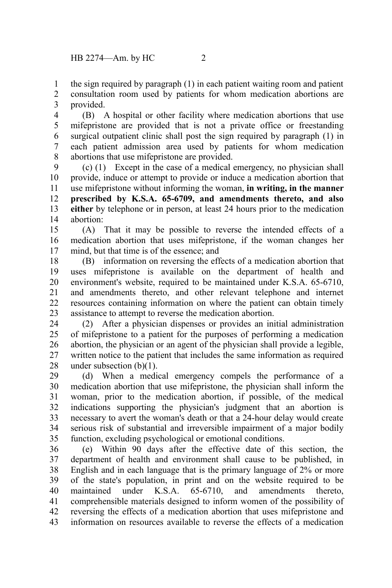the sign required by paragraph (1) in each patient waiting room and patient consultation room used by patients for whom medication abortions are provided. 1 2 3

(B) A hospital or other facility where medication abortions that use mifepristone are provided that is not a private office or freestanding surgical outpatient clinic shall post the sign required by paragraph (1) in each patient admission area used by patients for whom medication abortions that use mifepristone are provided. 4 5 6 7 8

(c) (1) Except in the case of a medical emergency, no physician shall provide, induce or attempt to provide or induce a medication abortion that use mifepristone without informing the woman, **in writing, in the manner prescribed by K.S.A. 65-6709, and amendments thereto, and also either** by telephone or in person, at least 24 hours prior to the medication abortion: 9 10 11 12 13 14

(A) That it may be possible to reverse the intended effects of a medication abortion that uses mifepristone, if the woman changes her mind, but that time is of the essence; and 15 16 17

(B) information on reversing the effects of a medication abortion that uses mifepristone is available on the department of health and environment's website, required to be maintained under K.S.A. 65-6710, and amendments thereto, and other relevant telephone and internet resources containing information on where the patient can obtain timely assistance to attempt to reverse the medication abortion. 18 19 20 21 22 23

(2) After a physician dispenses or provides an initial administration of mifepristone to a patient for the purposes of performing a medication abortion, the physician or an agent of the physician shall provide a legible, written notice to the patient that includes the same information as required under subsection  $(b)(1)$ . 24 25 26 27 28

(d) When a medical emergency compels the performance of a medication abortion that use mifepristone, the physician shall inform the woman, prior to the medication abortion, if possible, of the medical indications supporting the physician's judgment that an abortion is necessary to avert the woman's death or that a 24-hour delay would create serious risk of substantial and irreversible impairment of a major bodily function, excluding psychological or emotional conditions. 29 30 31 32 33 34 35

(e) Within 90 days after the effective date of this section, the department of health and environment shall cause to be published, in English and in each language that is the primary language of 2% or more of the state's population, in print and on the website required to be maintained under K.S.A. 65-6710, and amendments thereto, comprehensible materials designed to inform women of the possibility of reversing the effects of a medication abortion that uses mifepristone and information on resources available to reverse the effects of a medication 36 37 38 39 40 41 42 43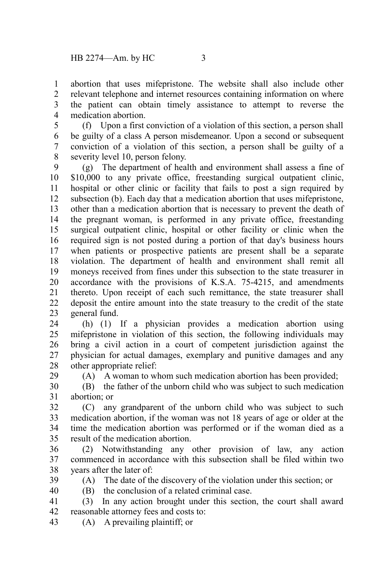abortion that uses mifepristone. The website shall also include other relevant telephone and internet resources containing information on where the patient can obtain timely assistance to attempt to reverse the medication abortion. 1 2 3 4

(f) Upon a first conviction of a violation of this section, a person shall be guilty of a class A person misdemeanor. Upon a second or subsequent conviction of a violation of this section, a person shall be guilty of a severity level 10, person felony. 5 6 7 8

(g) The department of health and environment shall assess a fine of \$10,000 to any private office, freestanding surgical outpatient clinic, hospital or other clinic or facility that fails to post a sign required by subsection (b). Each day that a medication abortion that uses mifepristone, other than a medication abortion that is necessary to prevent the death of the pregnant woman, is performed in any private office, freestanding surgical outpatient clinic, hospital or other facility or clinic when the required sign is not posted during a portion of that day's business hours when patients or prospective patients are present shall be a separate violation. The department of health and environment shall remit all moneys received from fines under this subsection to the state treasurer in accordance with the provisions of K.S.A. 75-4215, and amendments thereto. Upon receipt of each such remittance, the state treasurer shall deposit the entire amount into the state treasury to the credit of the state general fund. 9 10 11 12 13 14 15 16 17 18 19 20 21 22 23

(h) (1) If a physician provides a medication abortion using mifepristone in violation of this section, the following individuals may bring a civil action in a court of competent jurisdiction against the physician for actual damages, exemplary and punitive damages and any other appropriate relief: 24 25 26 27 28

(A) A woman to whom such medication abortion has been provided;

(B) the father of the unborn child who was subject to such medication abortion; or 30 31

(C) any grandparent of the unborn child who was subject to such medication abortion, if the woman was not 18 years of age or older at the time the medication abortion was performed or if the woman died as a result of the medication abortion. 32 33 34 35

(2) Notwithstanding any other provision of law, any action commenced in accordance with this subsection shall be filed within two years after the later of: 36 37 38

39 40

29

(A) The date of the discovery of the violation under this section; or

(B) the conclusion of a related criminal case.

- (3) In any action brought under this section, the court shall award reasonable attorney fees and costs to: 41 42
- (A) A prevailing plaintiff; or 43